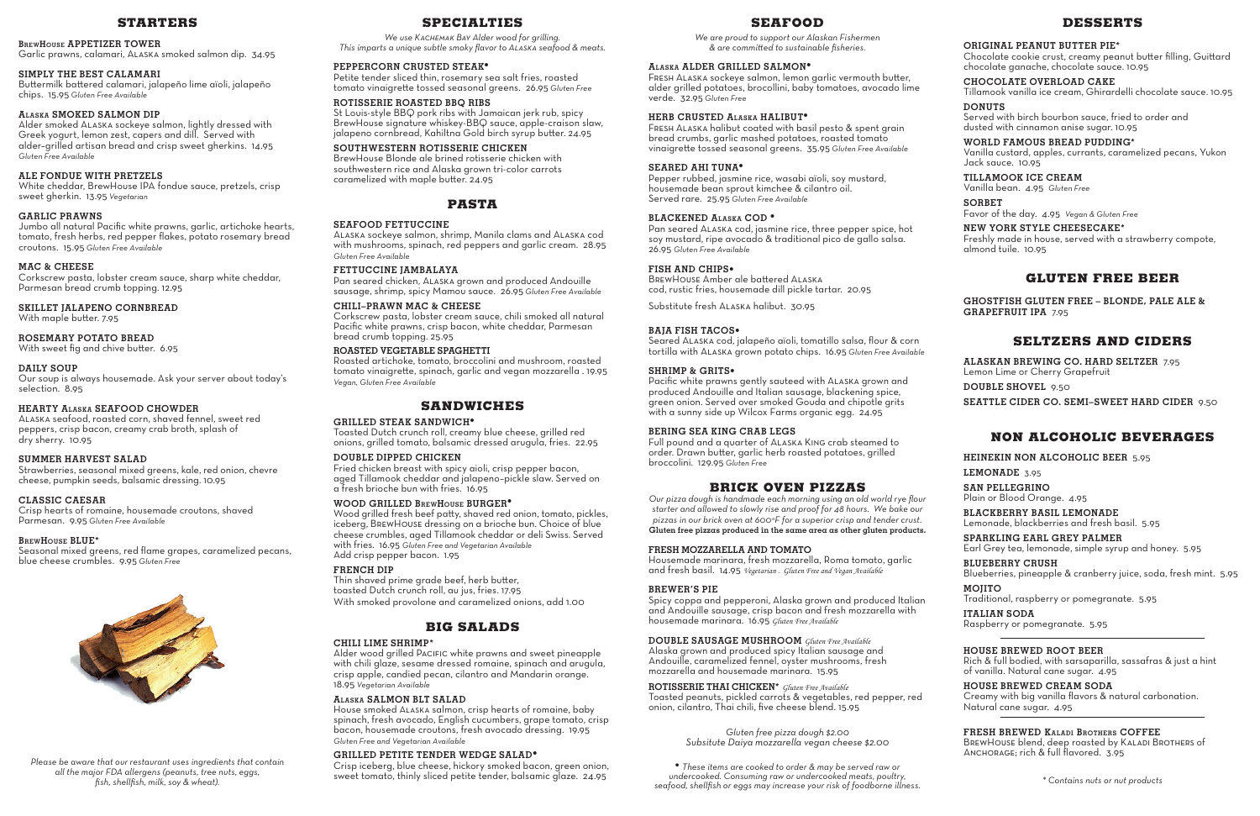## **STARTERS**

#### **BrewHouse APPETIZER TOWER**

Garlic prawns, calamari, Alaska smoked salmon dip. 34.95

## **SIMPLY THE BEST CALAMARI**

Buttermilk battered calamari, jalapeño lime aïoli, jalapeño chips. 15.95 *Gluten Free Available*

## **Alaska SMOKED SALMON DIP**

Alder smoked Alaska sockeye salmon, lightly dressed with Greek yogurt, lemon zest, capers and dill. Served with alder–grilled artisan bread and crisp sweet gherkins. 14.95 *Gluten Free Available*

## **ALE FONDUE WITH PRETZELS**

White cheddar, BrewHouse IPA fondue sauce, pretzels, crisp sweet gherkin. 13.95 *Vegetarian*

## **GARLIC PRAWNS**

Jumbo all natural Pacific white prawns, garlic, artichoke hearts, tomato, fresh herbs, red pepper flakes, potato rosemary bread croutons. 15.95 *Gluten Free Available*

## **MAC & CHEESE**

Corkscrew pasta, lobster cream sauce, sharp white cheddar, Parmesan bread crumb topping. 12.95

**SKILLET JALAPENO CORNBREAD** With maple butter. 7.95

#### **ROSEMARY POTATO BREAD**

With sweet fig and chive butter. 6.95

#### **DAILY SOUP**

Our soup is always housemade. Ask your server about today's selection. 8.95

#### **HEARTY Alaska SEAFOOD CHOWDER**

Alaska seafood, roasted corn, shaved fennel, sweet red peppers, crisp bacon, creamy crab broth, splash of dry sherry. 10.95

## **SUMMER HARVEST SALAD**

Strawberries, seasonal mixed greens, kale, red onion, chevre cheese, pumpkin seeds, balsamic dressing. 10.95

#### **CLASSIC CAESAR**

Pacific white prawns gently sauteed with Alaska grown and produced Andouille and Italian sausage, blackening spice, green onion. Served over smoked Gouda and chipotle grits with a sunny side up Wilcox Farms organic egg. 24.95

Crisp hearts of romaine, housemade croutons, shaved Parmesan. 9.95 *Gluten Free Available*

#### **BrewHouse BLUE\***

Seasonal mixed greens, red flame grapes, caramelized pecans, blue cheese crumbles. 9.95 *Gluten Free* 



## **SEAFOOD**

*We are proud to support our Alaskan Fishermen & are committed to sustainable fisheries.*

#### **Alaska ALDER GRILLED SALMON•**

Fresh Alaska sockeye salmon, lemon garlic vermouth butter, alder grilled potatoes, brocollini, baby tomatoes, avocado lime verde. 32.95 *Gluten Free*

#### **HERB CRUSTED Alaska HALIBUT•**

Fresh Alaska halibut coated with basil pesto & spent grain bread crumbs, garlic mashed potatoes, roasted tomato vinaigrette tossed seasonal greens. 35.95 *Gluten Free Available*

#### **SEARED AHI TUNA•**

Pepper rubbed, jasmine rice, wasabi aïoli, soy mustard, housemade bean sprout kimchee & cilantro oil. Served rare. 25.95 *Gluten Free Available*

## **BLACKENED Alaska COD •**

Pan seared Alaska cod, jasmine rice, three pepper spice, hot soy mustard, ripe avocado & traditional pico de gallo salsa. 26.95 *Gluten Free Available*

#### **FISH AND CHIPS•**

BrewHouse Amber ale battered Alaska cod, rustic fries, housemade dill pickle tartar. 20.95

Substitute fresh Alaska halibut. 30.95

#### **BAJA FISH TACOS•**

Seared Alaska cod, jalapeño aïoli, tomatillo salsa, flour & corn tortilla with Alaska grown potato chips. 16.95 *Gluten Free Available*

#### **SHRIMP & GRITS•**

## **BERING SEA KING CRAB LEGS**

Full pound and a quarter of Alaska King crab steamed to order. Drawn butter, garlic herb roasted potatoes, grilled broccolini. 129.95 *Gluten Free*

## **BRICK OVEN PIZZAS**

*Our pizza dough is handmade each morning using an old world rye flour starter and allowed to slowly rise and proof for 48 hours. We bake our pizzas in our brick oven at 600°F for a superior crisp and tender crust.* **Gluten free pizzas produced in the same area as other gluten products.**

#### **FRESH MOZZARELLA AND TOMATO**

Housemade marinara, fresh mozzarella, Roma tomato, garlic and fresh basil. 14.95 *Vegetarian . Gluten Free and Vegan Available*

## **BREWER'S PIE**

Spicy coppa and pepperoni, Alaska grown and produced Italian and Andouille sausage, crisp bacon and fresh mozzarella with housemade marinara. 16.95 *Gluten Free Available*

## **DOUBLE SAUSAGE MUSHROOM** *Gluten Free Available*

Alaska grown and produced spicy Italian sausage and Andouille, caramelized fennel, oyster mushrooms, fresh mozzarella and housemade marinara. 15.95

**ROTISSERIE THAI CHICKEN\*** *Gluten Free Available* Toasted peanuts, pickled carrots & vegetables, red pepper, red onion, cilantro, Thai chili, five cheese blend. 15.95

> *Gluten free pizza dough \$2.00 Subsitute Daiya mozzarella vegan cheese \$2.00*

## **DESSERTS**

## **ORIGINAL PEANUT BUTTER PIE\***

Chocolate cookie crust, creamy peanut butter filling, Guittard chocolate ganache, chocolate sauce. 10.95

## **CHOCOLATE OVERLOAD CAKE**

Tillamook vanilla ice cream, Ghirardelli chocolate sauce. 10.95 **DONUTS**

Served with birch bourbon sauce, fried to order and dusted with cinnamon anise sugar. 10.95

**WORLD FAMOUS BREAD PUDDING\*** Vanilla custard, apples, currants, caramelized pecans, Yukon Jack sauce. 10.95

## **TILLAMOOK ICE CREAM**

Vanilla bean. 4.95 *Gluten Free*

## **SORBET**

Favor of the day. 4.95 *Vegan & Gluten Free*

## **NEW YORK STYLE CHEESECAKE\***

Freshly made in house, served with a strawberry compote, almond tuile. 10.95

# **GLUTEN FREE BEER**

**GHOSTFISH GLUTEN FREE – BLONDE, PALE ALE & GRAPEFRUIT IPA** 7.95

# **SELTZERS AND CIDERS**

**ALASKAN BREWING CO. HARD SELTZER** 7.95 Lemon Lime or Cherry Grapefruit **DOUBLE SHOVEL** 9.50 **SEATTLE CIDER CO. SEMI–SWEET HARD CIDER** 9.50

# **NON ALCOHOLIC BEVERAGES**

**HEINEKIN NON ALCOHOLIC BEER** 5.95

## **LEMONADE** 3.95

**SAN PELLEGRINO** Plain or Blood Orange. 4.95

**BLACKBERRY BASIL LEMONADE** Lemonade, blackberries and fresh basil. 5.95

**SPARKLING EARL GREY PALMER** Earl Grey tea, lemonade, simple syrup and honey. 5.95

**BLUEBERRY CRUSH** Blueberries, pineapple & cranberry juice, soda, fresh mint. 5.95

## **MOJITO** Traditional, raspberry or pomegranate. 5.95

**ITALIAN SODA** Raspberry or pomegranate. 5.95

## **HOUSE BREWED ROOT BEER**

Rich & full bodied, with sarsaparilla, sassafras & just a hint of vanilla. Natural cane sugar. 4.95

# **HOUSE BREWED CREAM SODA**

Creamy with big vanilla flavors & natural carbonation. Natural cane sugar. 4.95

## **FRESH BREWED Kaladi Brothers COFFEE**

BREWHOUSE blend, deep roasted by KALADI BROTHERS of ANCHORAGE; rich & full flavored. 3.95

## **SPECIALTIES**

*We use Kachemak Bay Alder wood for grilling. This imparts a unique subtle smoky flavor to Alaska seafood & meats.* 

#### **PEPPERCORN CRUSTED STEAK•**

Petite tender sliced thin, rosemary sea salt fries, roasted tomato vinaigrette tossed seasonal greens. 26.95 *Gluten Free*

## **ROTISSERIE ROASTED BBQ RIBS**

St Louis-style BBQ pork ribs with Jamaican jerk rub, spicy BrewHouse signature whiskey-BBQ sauce, apple-craison slaw, jalapeno cornbread, Kahiltna Gold birch syrup butter. 24.95

## **SOUTHWESTERN ROTISSERIE CHICKEN**

**•** *These items are cooked to order & may be served raw or undercooked. Consuming raw or undercooked meats, poultry, seafood, shellfish or eggs may increase your risk of foodborne illness. fish, shellfish, milk, soy & wheat). \* Contains nuts or nut products*

BrewHouse Blonde ale brined rotisserie chicken with southwestern rice and Alaska grown tri-color carrots caramelized with maple butter. 24.95

## **PASTA**

#### **SEAFOOD FETTUCCINE**

Alaska sockeye salmon, shrimp, Manila clams and Alaska cod with mushrooms, spinach, red peppers and garlic cream. 28.95 *Gluten Free Available*

## **FETTUCCINE JAMBALAYA**

Pan seared chicken, Alaska grown and produced Andouille sausage, shrimp, spicy Mamou sauce. 26.95 *Gluten Free Available*

## **CHILI–PRAWN MAC & CHEESE**

Corkscrew pasta, lobster cream sauce, chili smoked all natural Pacific white prawns, crisp bacon, white cheddar, Parmesan bread crumb topping. 25.95

#### **ROASTED VEGETABLE SPAGHETTI**

Roasted artichoke, tomato, broccolini and mushroom, roasted tomato vinaigrette, spinach, garlic and vegan mozzarella . 19.95 *Vegan, Gluten Free Available*

## **SANDWICHES**

#### **GRILLED STEAK SANDWICH•**

Toasted Dutch crunch roll, creamy blue cheese, grilled red onions, grilled tomato, balsamic dressed arugula, fries. 22.95

## **DOUBLE DIPPED CHICKEN**

Fried chicken breast with spicy aioli, crisp pepper bacon, aged Tillamook cheddar and jalapeno–pickle slaw. Served on a fresh brioche bun with fries. 16.95

#### **WOOD GRILLED BrewHouse BURGER•**

Wood grilled fresh beef patty, shaved red onion, tomato, pickles, iceberg, BrewHouse dressing on a brioche bun. Choice of blue cheese crumbles, aged Tillamook cheddar or deli Swiss. Served with fries. 16.95 *Gluten Free and Vegetarian Available*  Add crisp pepper bacon. 1.95

## **FRENCH DIP**

Thin shaved prime grade beef, herb butter, toasted Dutch crunch roll, au jus, fries. 17.95 With smoked provolone and caramelized onions, add 1.00

## **BIG SALADS**

#### **CHILI LIME SHRIMP\***

Alder wood grilled Pacific white prawns and sweet pineapple with chili glaze, sesame dressed romaine, spinach and arugula, crisp apple, candied pecan, cilantro and Mandarin orange. 18.95 *Vegetarian Available*

## **Alaska SALMON BLT SALAD**

House smoked Alaska salmon, crisp hearts of romaine, baby spinach, fresh avocado, English cucumbers, grape tomato, crisp bacon, housemade croutons, fresh avocado dressing. 19.95 *Gluten Free and Vegetarian Available*

## **GRILLED PETITE TENDER WEDGE SALAD•**

Crisp iceberg, blue cheese, hickory smoked bacon, green onion, sweet tomato, thinly sliced petite tender, balsamic glaze. 24.95

*Please be aware that our restaurant uses ingredients that contain all the major FDA allergens (peanuts, tree nuts, eggs,*